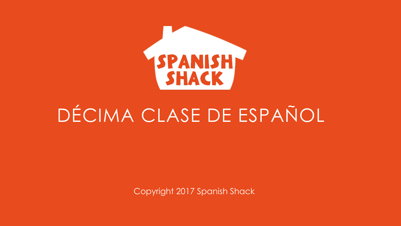

## DÉCIMA CLASE DE ESPAÑOL

Copyright 2017 Spanish Shack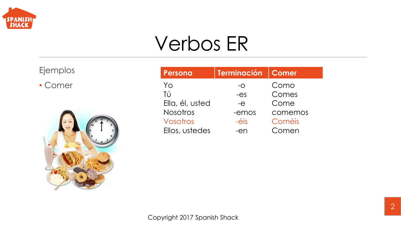

## Verbos ER

Ejemplos

• Comer



| Persona         | <b>Terminación</b> | <b>Comer</b> |
|-----------------|--------------------|--------------|
| Yo              | $-$ O              | Como         |
| Tú              | $-ES$              | Comes        |
| Ella, él, usted | $-e$               | Come         |
| <b>Nosotros</b> | -emos              | comemos      |
| Vosotros        | $-\acute{e}$ is    | Coméis       |
| Ellos, ustedes  | $-en$              | Comen        |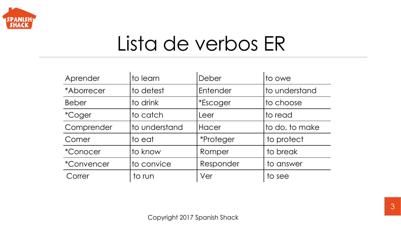

## Lista de verbos ER

| Aprender          | to learn      | Deber            | to owe         |
|-------------------|---------------|------------------|----------------|
| *Aborrecer        | to detest     | Entender         | to understand  |
| <b>Beber</b>      | to drink      | <i>*Escoger</i>  | to choose      |
| <i>*Coger</i>     | to catch      | Leer             | to read        |
| Comprender        | to understand | Hacer            | to do, to make |
| Comer             | to eat        | <i>*Proteger</i> | to protect     |
| <i>*Conocer</i>   | to know       | Romper           | to break       |
| <i>*Convencer</i> | to convice    | Responder        | to answer      |
| Correr            | to run        | Ver              | to see         |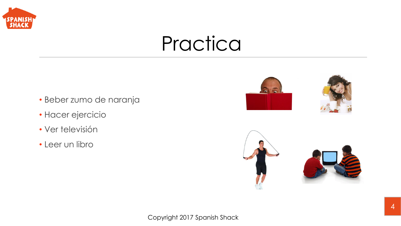

#### Practica

- Beber zumo de naranja
- Hacer ejercicio
- Ver televisión
- Leer un libro



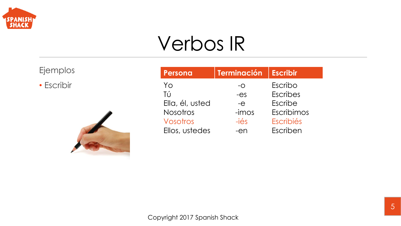

## Verbos IR

Ejemplos

• Escribir



| Persona         | Terminación    | <b>Escribir</b> |
|-----------------|----------------|-----------------|
| Yo              | $-$ O          | Escribo         |
| Tú              | $-ES$          | <b>Escribes</b> |
| Ella, él, usted | $-e$           | Escribe         |
| <b>Nosotros</b> | $-imos$        | Escribimos      |
| Vosotros        | $-i\acute{e}s$ | Escribiés       |
| Ellos, ustedes  | $-en$          | Escriben        |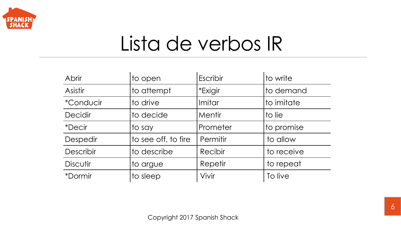

## Lista de verbos IR

| <b>Abrir</b>            | to open             | <b>Escribir</b> | to write   |
|-------------------------|---------------------|-----------------|------------|
| Asistir                 | to attempt          | *Exigir         | to demand  |
| <i><b>*Conducir</b></i> | to drive            | Imitar          | to imitate |
| <b>Decidir</b>          | to decide           | Mentir          | to lie     |
| <i>*Decir</i>           | to say              | Prometer        | to promise |
| <b>Despedir</b>         | to see off, to fire | Permitir        | to allow   |
| Describir               | to describe         | Recibir         | to receive |
| <b>Discutir</b>         | to argue            | Repetir         | to repeat  |
| <i><b>*Dormir</b></i>   | to sleep            | Vivir           | To live    |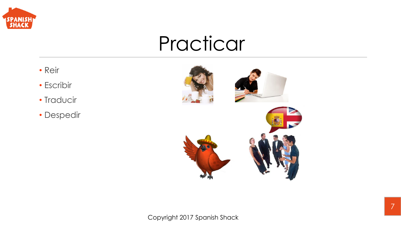

#### Practicar

- Reir
- Escribir
- Traducir
- Despedir

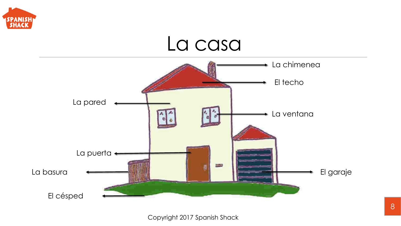

#### La casa

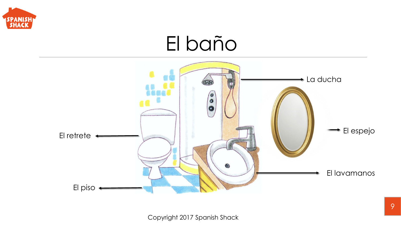

#### El baño

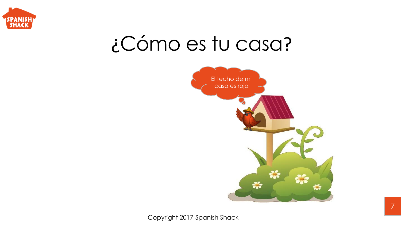

### ¿Cómo es tu casa?